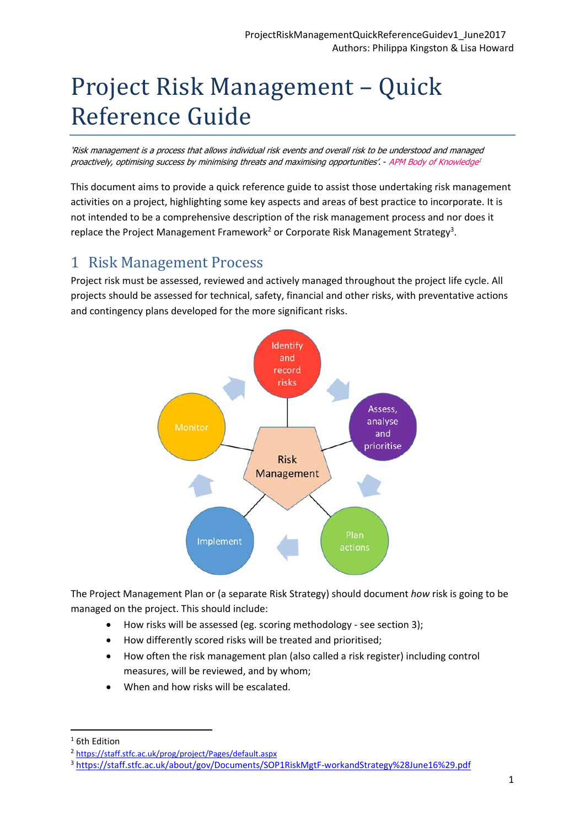# Project Risk Management - Quick Reference Guide

'Risk management is a process that allows individual risk events and overall risk to be understood and managed proactively, optimising success by minimising threats and maximising opportunities'. - APM Body of Knowledge<sup>1</sup>

This document aims to provide a quick reference guide to assist those undertaking risk management activities on a project, highlighting some key aspects and areas of best practice to incorporate. It is not intended to be a comprehensive description of the risk management process and nor does it replace the Project Management Framework<sup>2</sup> or Corporate Risk Management Strategy<sup>3</sup>.

## 1 Risk Management Process

Project risk must be assessed, reviewed and actively managed throughout the project life cycle. All projects should be assessed for technical, safety, financial and other risks, with preventative actions and contingency plans developed for the more significant risks.



The Project Management Plan or (a separate Risk Strategy) should document *how* risk is going to be managed on the project. This should include:

- How risks will be assessed (eg. scoring methodology ‐ see section 3);
- How differently scored risks will be treated and prioritised;
- How often the risk management plan (also called a risk register) including control measures, will be reviewed, and by whom;
- When and how risks will be escalated.

<sup>&</sup>lt;sup>1</sup> 6th Edition

<sup>2</sup> https://staff.stfc.ac.uk/prog/project/Pages/default.aspx

<sup>3</sup> https://staff.stfc.ac.uk/about/gov/Documents/SOP1RiskMgtF‐workandStrategy%28June16%29.pdf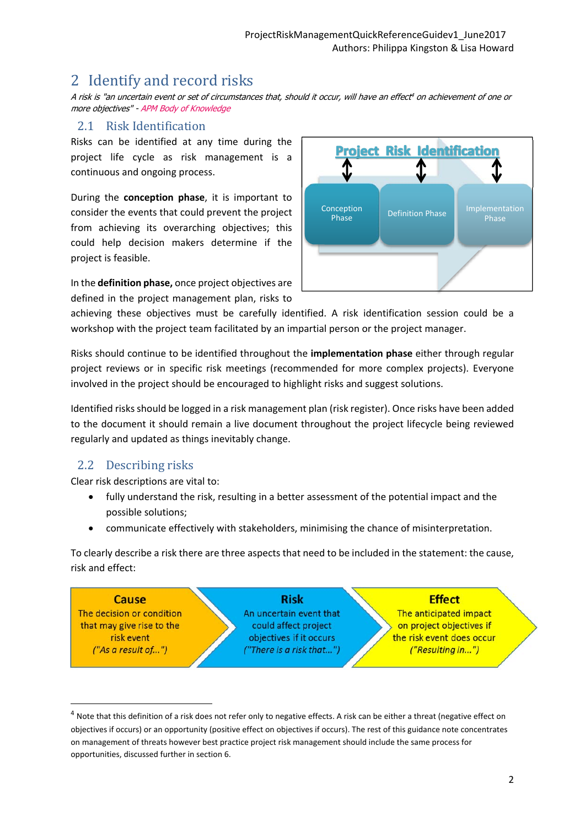## 2 Identify and record risks

A risk is "an uncertain event or set of circumstances that, should it occur, will have an effect<sup>4</sup> on achievement of one or more objectives" - APM Body of Knowledge

#### 2.1 Risk Identification

Risks can be identified at any time during the project life cycle as risk management is a continuous and ongoing process.

During the **conception phase**, it is important to consider the events that could prevent the project from achieving its overarching objectives; this could help decision makers determine if the project is feasible.

In the **definition phase,** once project objectives are defined in the project management plan, risks to



achieving these objectives must be carefully identified. A risk identification session could be a workshop with the project team facilitated by an impartial person or the project manager.

Risks should continue to be identified throughout the **implementation phase** either through regular project reviews or in specific risk meetings (recommended for more complex projects). Everyone involved in the project should be encouraged to highlight risks and suggest solutions.

Identified risks should be logged in a risk management plan (risk register). Once risks have been added to the document it should remain a live document throughout the project lifecycle being reviewed regularly and updated as things inevitably change.

#### 2.2 Describing risks

Clear risk descriptions are vital to:

- fully understand the risk, resulting in a better assessment of the potential impact and the possible solutions;
- communicate effectively with stakeholders, minimising the chance of misinterpretation.

To clearly describe a risk there are three aspects that need to be included in the statement: the cause, risk and effect:



 $4$  Note that this definition of a risk does not refer only to negative effects. A risk can be either a threat (negative effect on objectives if occurs) or an opportunity (positive effect on objectives if occurs). The rest of this guidance note concentrates on management of threats however best practice project risk management should include the same process for opportunities, discussed further in section 6.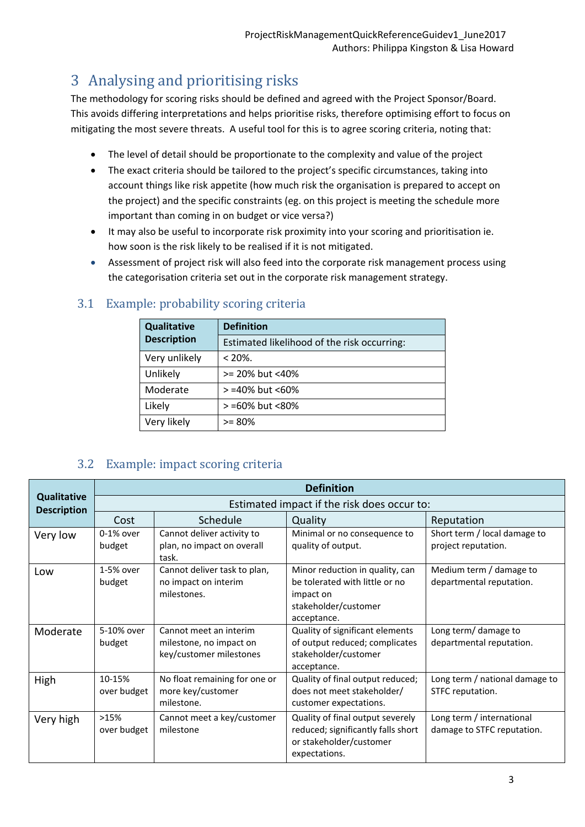# 3 Analysing and prioritising risks

The methodology for scoring risks should be defined and agreed with the Project Sponsor/Board. This avoids differing interpretations and helps prioritise risks, therefore optimising effort to focus on mitigating the most severe threats. A useful tool for this is to agree scoring criteria, noting that:

- The level of detail should be proportionate to the complexity and value of the project
- The exact criteria should be tailored to the project's specific circumstances, taking into account things like risk appetite (how much risk the organisation is prepared to accept on the project) and the specific constraints (eg. on this project is meeting the schedule more important than coming in on budget or vice versa?)
- It may also be useful to incorporate risk proximity into your scoring and prioritisation ie. how soon is the risk likely to be realised if it is not mitigated.
- Assessment of project risk will also feed into the corporate risk management process using the categorisation criteria set out in the corporate risk management strategy.

| <b>Qualitative</b> | <b>Definition</b>                           |  |
|--------------------|---------------------------------------------|--|
| <b>Description</b> | Estimated likelihood of the risk occurring: |  |
| Very unlikely      | $< 20\%$ .                                  |  |
| Unlikely           | >= 20% but <40%                             |  |
| Moderate           | >=40% but <60%                              |  |
| Likely             | > =60% but <80%                             |  |
| Very likely        | $>= 80\%$                                   |  |

#### 3.1 Example: probability scoring criteria

#### 3.2 Example: impact scoring criteria

|                                          | <b>Definition</b>                           |                                                                              |                                                                                                                       |                                                         |  |
|------------------------------------------|---------------------------------------------|------------------------------------------------------------------------------|-----------------------------------------------------------------------------------------------------------------------|---------------------------------------------------------|--|
| <b>Qualitative</b><br><b>Description</b> | Estimated impact if the risk does occur to: |                                                                              |                                                                                                                       |                                                         |  |
|                                          | Cost                                        | Schedule                                                                     | Quality                                                                                                               | Reputation                                              |  |
| Very low                                 | $0-1%$ over<br>budget                       | Cannot deliver activity to<br>plan, no impact on overall<br>task.            | Minimal or no consequence to<br>quality of output.                                                                    | Short term / local damage to<br>project reputation.     |  |
| Low                                      | 1-5% over<br>budget                         | Cannot deliver task to plan,<br>no impact on interim<br>milestones.          | Minor reduction in quality, can<br>be tolerated with little or no<br>impact on<br>stakeholder/customer<br>acceptance. | Medium term / damage to<br>departmental reputation.     |  |
| Moderate                                 | 5-10% over<br>budget                        | Cannot meet an interim<br>milestone, no impact on<br>key/customer milestones | Quality of significant elements<br>of output reduced; complicates<br>stakeholder/customer<br>acceptance.              | Long term/ damage to<br>departmental reputation.        |  |
| High                                     | 10-15%<br>over budget                       | No float remaining for one or<br>more key/customer<br>milestone.             | Quality of final output reduced;<br>does not meet stakeholder/<br>customer expectations.                              | Long term / national damage to<br>STFC reputation.      |  |
| Very high                                | >15%<br>over budget                         | Cannot meet a key/customer<br>milestone                                      | Quality of final output severely<br>reduced; significantly falls short<br>or stakeholder/customer<br>expectations.    | Long term / international<br>damage to STFC reputation. |  |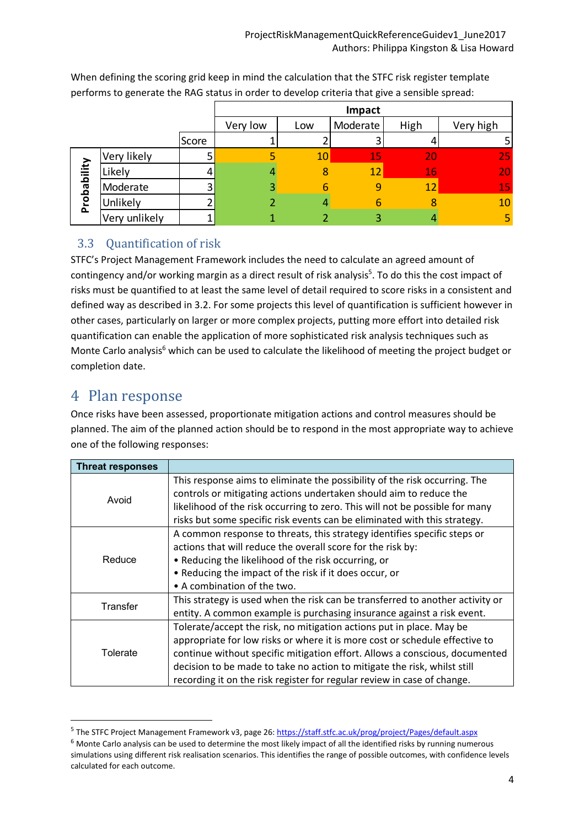|             |               |       |          |     | Impact   |      |           |
|-------------|---------------|-------|----------|-----|----------|------|-----------|
|             |               |       | Very low | Low | Moderate | High | Very high |
|             |               | Score |          |     |          |      |           |
|             | Very likely   |       |          | 10  | 15       | 20   | 25        |
|             | Likely        |       |          | 8   | 12       | 16   | 20        |
|             | Moderate      |       | 3        | h   | 9        | 12   | 15        |
| Probability | Unlikely      |       |          |     | ь        |      | 10        |
|             | Very unlikely |       |          |     | 3        |      | 5         |

When defining the scoring grid keep in mind the calculation that the STFC risk register template performs to generate the RAG status in order to develop criteria that give a sensible spread:

#### 3.3 Quantification of risk

STFC's Project Management Framework includes the need to calculate an agreed amount of contingency and/or working margin as a direct result of risk analysis<sup>5</sup>. To do this the cost impact of risks must be quantified to at least the same level of detail required to score risks in a consistent and defined way as described in 3.2. For some projects this level of quantification is sufficient however in other cases, particularly on larger or more complex projects, putting more effort into detailed risk quantification can enable the application of more sophisticated risk analysis techniques such as Monte Carlo analysis<sup>6</sup> which can be used to calculate the likelihood of meeting the project budget or completion date.

## 4 Plan response

Once risks have been assessed, proportionate mitigation actions and control measures should be planned. The aim of the planned action should be to respond in the most appropriate way to achieve one of the following responses:

| <b>Threat responses</b> |                                                                                                                                                                                                                                                                                                                                                                                           |
|-------------------------|-------------------------------------------------------------------------------------------------------------------------------------------------------------------------------------------------------------------------------------------------------------------------------------------------------------------------------------------------------------------------------------------|
| Avoid                   | This response aims to eliminate the possibility of the risk occurring. The<br>controls or mitigating actions undertaken should aim to reduce the<br>likelihood of the risk occurring to zero. This will not be possible for many<br>risks but some specific risk events can be eliminated with this strategy.                                                                             |
| Reduce                  | A common response to threats, this strategy identifies specific steps or<br>actions that will reduce the overall score for the risk by:<br>• Reducing the likelihood of the risk occurring, or<br>• Reducing the impact of the risk if it does occur, or<br>• A combination of the two.                                                                                                   |
| Transfer                | This strategy is used when the risk can be transferred to another activity or<br>entity. A common example is purchasing insurance against a risk event.                                                                                                                                                                                                                                   |
| Tolerate                | Tolerate/accept the risk, no mitigation actions put in place. May be<br>appropriate for low risks or where it is more cost or schedule effective to<br>continue without specific mitigation effort. Allows a conscious, documented<br>decision to be made to take no action to mitigate the risk, whilst still<br>recording it on the risk register for regular review in case of change. |

<sup>5</sup> The STFC Project Management Framework v3, page 26: https://staff.stfc.ac.uk/prog/project/Pages/default.aspx

 $6$  Monte Carlo analysis can be used to determine the most likely impact of all the identified risks by running numerous simulations using different risk realisation scenarios. This identifies the range of possible outcomes, with confidence levels calculated for each outcome.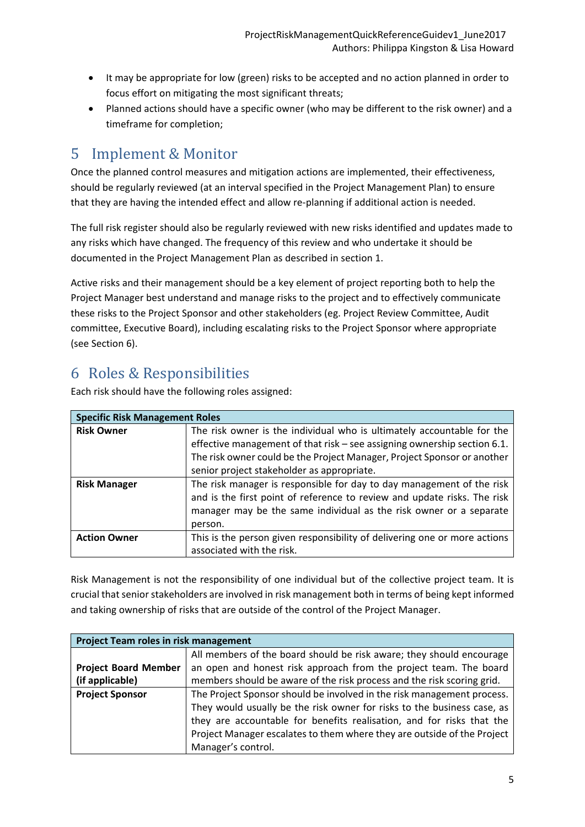- It may be appropriate for low (green) risks to be accepted and no action planned in order to focus effort on mitigating the most significant threats;
- Planned actions should have a specific owner (who may be different to the risk owner) and a timeframe for completion;

## 5 Implement & Monitor

Once the planned control measures and mitigation actions are implemented, their effectiveness, should be regularly reviewed (at an interval specified in the Project Management Plan) to ensure that they are having the intended effect and allow re‐planning if additional action is needed.

The full risk register should also be regularly reviewed with new risks identified and updates made to any risks which have changed. The frequency of this review and who undertake it should be documented in the Project Management Plan as described in section 1.

Active risks and their management should be a key element of project reporting both to help the Project Manager best understand and manage risks to the project and to effectively communicate these risks to the Project Sponsor and other stakeholders (eg. Project Review Committee, Audit committee, Executive Board), including escalating risks to the Project Sponsor where appropriate (see Section 6).

## 6 Roles & Responsibilities

Each risk should have the following roles assigned:

| <b>Specific Risk Management Roles</b> |                                                                           |  |
|---------------------------------------|---------------------------------------------------------------------------|--|
| <b>Risk Owner</b>                     | The risk owner is the individual who is ultimately accountable for the    |  |
|                                       | effective management of that risk - see assigning ownership section 6.1.  |  |
|                                       | The risk owner could be the Project Manager, Project Sponsor or another   |  |
|                                       | senior project stakeholder as appropriate.                                |  |
| <b>Risk Manager</b>                   | The risk manager is responsible for day to day management of the risk     |  |
|                                       | and is the first point of reference to review and update risks. The risk  |  |
|                                       | manager may be the same individual as the risk owner or a separate        |  |
|                                       | person.                                                                   |  |
| <b>Action Owner</b>                   | This is the person given responsibility of delivering one or more actions |  |
|                                       | associated with the risk.                                                 |  |

Risk Management is not the responsibility of one individual but of the collective project team. It is crucial that senior stakeholders are involved in risk management both in terms of being kept informed and taking ownership of risks that are outside of the control of the Project Manager.

| Project Team roles in risk management |                                                                         |  |
|---------------------------------------|-------------------------------------------------------------------------|--|
|                                       | All members of the board should be risk aware; they should encourage    |  |
| <b>Project Board Member</b>           | an open and honest risk approach from the project team. The board       |  |
| (if applicable)                       | members should be aware of the risk process and the risk scoring grid.  |  |
| <b>Project Sponsor</b>                | The Project Sponsor should be involved in the risk management process.  |  |
|                                       | They would usually be the risk owner for risks to the business case, as |  |
|                                       | they are accountable for benefits realisation, and for risks that the   |  |
|                                       | Project Manager escalates to them where they are outside of the Project |  |
|                                       | Manager's control.                                                      |  |